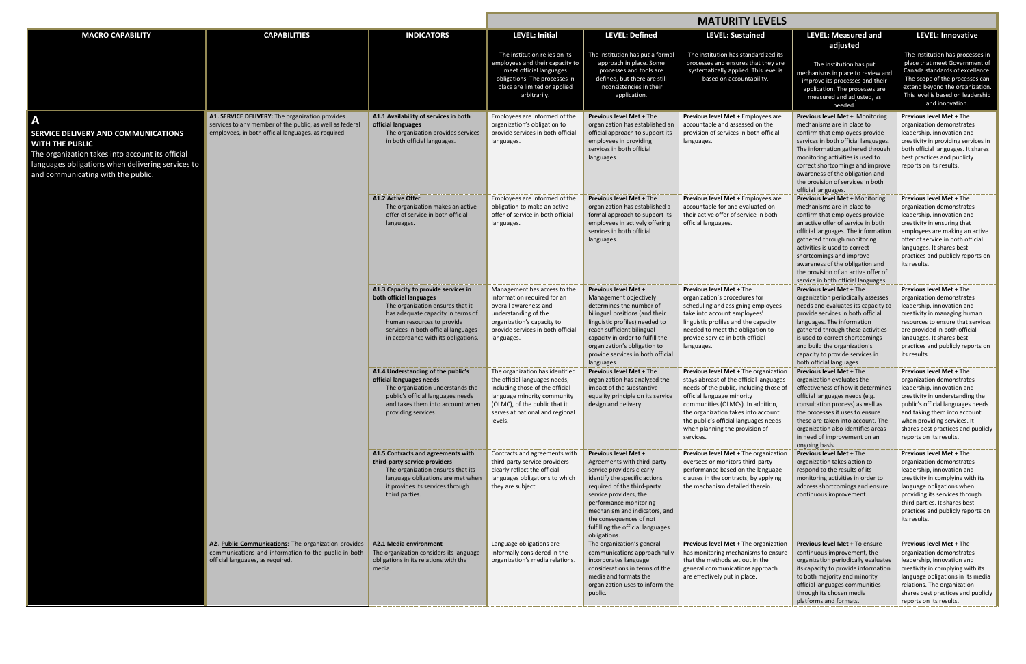|                                                                                                                                                                                                            |                                                                                                                                                                           |                                                                                                                                                                                                                                                      | <b>MATURITY LEVELS</b>                                                                                                                                                                                            |                                                                                                                                                                                                                                                                                                                              |                                                                                                                                                                                                                                                                                                                               |                                                                                                                                                                                                                                                                                                                                                                                           |                                                                                                                                                                                                                                                                                                    |
|------------------------------------------------------------------------------------------------------------------------------------------------------------------------------------------------------------|---------------------------------------------------------------------------------------------------------------------------------------------------------------------------|------------------------------------------------------------------------------------------------------------------------------------------------------------------------------------------------------------------------------------------------------|-------------------------------------------------------------------------------------------------------------------------------------------------------------------------------------------------------------------|------------------------------------------------------------------------------------------------------------------------------------------------------------------------------------------------------------------------------------------------------------------------------------------------------------------------------|-------------------------------------------------------------------------------------------------------------------------------------------------------------------------------------------------------------------------------------------------------------------------------------------------------------------------------|-------------------------------------------------------------------------------------------------------------------------------------------------------------------------------------------------------------------------------------------------------------------------------------------------------------------------------------------------------------------------------------------|----------------------------------------------------------------------------------------------------------------------------------------------------------------------------------------------------------------------------------------------------------------------------------------------------|
| <b>MACRO CAPABILITY</b>                                                                                                                                                                                    | <b>CAPABILITIES</b>                                                                                                                                                       | <b>INDICATORS</b>                                                                                                                                                                                                                                    | LEVEL: Initial                                                                                                                                                                                                    | <b>LEVEL: Defined</b>                                                                                                                                                                                                                                                                                                        | <b>LEVEL: Sustained</b>                                                                                                                                                                                                                                                                                                       | <b>LEVEL: Measured and</b><br>adjusted                                                                                                                                                                                                                                                                                                                                                    | <b>LEVEL: Innovative</b>                                                                                                                                                                                                                                                                           |
|                                                                                                                                                                                                            |                                                                                                                                                                           |                                                                                                                                                                                                                                                      | The institution relies on its<br>employees and their capacity to<br>meet official languages<br>obligations. The processes in<br>place are limited or applied<br>arbitrarily.                                      | The institution has put a formal<br>approach in place. Some<br>processes and tools are<br>defined, but there are still<br>inconsistencies in their<br>application.                                                                                                                                                           | The institution has standardized its<br>processes and ensures that they are<br>systematically applied. This level is<br>based on accountability.                                                                                                                                                                              | The institution has put<br>mechanisms in place to review and<br>improve its processes and their<br>application. The processes are<br>measured and adjusted, as<br>needed.                                                                                                                                                                                                                 | The institution has processes in<br>place that meet Government of<br>Canada standards of excellence.<br>The scope of the processes can<br>extend beyond the organization.<br>This level is based on leadership<br>and innovation.                                                                  |
| Α<br>SERVICE DELIVERY AND COMMUNICATIONS<br>WITH THE PUBLIC<br>The organization takes into account its official<br>languages obligations when delivering services to<br>and communicating with the public. | A1. <b>SERVICE DELIVERY:</b> The organization provides<br>services to any member of the public, as well as federal<br>employees, in both official languages, as required. | A1.1 Availability of services in both<br>official languages<br>The organization provides services<br>in both official languages.                                                                                                                     | Employees are informed of the<br>organization's obligation to<br>provide services in both official<br>languages.                                                                                                  | Previous level Met + The<br>organization has established an<br>official approach to support its<br>employees in providing<br>services in both official<br>languages.                                                                                                                                                         | Previous level Met + Employees are<br>accountable and assessed on the<br>provision of services in both official<br>languages.                                                                                                                                                                                                 | Previous level Met + Monitoring<br>mechanisms are in place to<br>confirm that employees provide<br>services in both official languages.<br>The information gathered through<br>monitoring activities is used to<br>correct shortcomings and improve<br>awareness of the obligation and<br>the provision of services in both<br>official languages.                                        | <b>Previous level Met + The</b><br>organization demonstrates<br>leadership, innovation and<br>creativity in providing services in<br>both official languages. It shares<br>best practices and publicly<br>reports on its results.                                                                  |
|                                                                                                                                                                                                            |                                                                                                                                                                           | A1.2 Active Offer<br>The organization makes an active<br>offer of service in both official<br>languages.                                                                                                                                             | Employees are informed of the<br>obligation to make an active<br>offer of service in both official<br>languages.                                                                                                  | Previous level Met + The<br>organization has established a<br>formal approach to support its<br>employees in actively offering<br>services in both official<br>languages.                                                                                                                                                    | Previous level Met + Employees are<br>accountable for and evaluated on<br>their active offer of service in both<br>official languages.                                                                                                                                                                                        | Previous level Met + Monitoring<br>mechanisms are in place to<br>confirm that employees provide<br>an active offer of service in both<br>official languages. The information<br>gathered through monitoring<br>activities is used to correct<br>shortcomings and improve<br>awareness of the obligation and<br>the provision of an active offer of<br>service in both official languages. | <b>Previous level Met + The</b><br>organization demonstrates<br>leadership, innovation and<br>creativity in ensuring that<br>employees are making an active<br>offer of service in both official<br>languages. It shares best<br>practices and publicly reports on<br>its results.                 |
|                                                                                                                                                                                                            |                                                                                                                                                                           | A1.3 Capacity to provide services in<br>both official languages<br>The organization ensures that it<br>has adequate capacity in terms of<br>human resources to provide<br>services in both official languages<br>in accordance with its obligations. | Management has access to the<br>information required for an<br>overall awareness and<br>understanding of the<br>organization's capacity to<br>provide services in both official<br>languages.                     | Previous level Met +<br>Management objectively<br>determines the number of<br>bilingual positions (and their<br>linguistic profiles) needed to<br>reach sufficient bilingual<br>capacity in order to fulfill the<br>organization's obligation to<br>provide services in both official<br>languages.                          | Previous level Met + The<br>organization's procedures for<br>scheduling and assigning employees<br>take into account employees'<br>linguistic profiles and the capacity<br>needed to meet the obligation to<br>provide service in both official<br>languages.                                                                 | <b>Previous level Met + The</b><br>organization periodically assesses<br>needs and evaluates its capacity to<br>provide services in both official<br>languages. The information<br>gathered through these activities<br>is used to correct shortcomings<br>and build the organization's<br>capacity to provide services in<br>both official languages.                                    | <b>Previous level Met + The</b><br>organization demonstrates<br>leadership, innovation and<br>creativity in managing human<br>resources to ensure that services<br>are provided in both official<br>languages. It shares best<br>practices and publicly reports on<br>its results.                 |
|                                                                                                                                                                                                            |                                                                                                                                                                           | A1.4 Understanding of the public's<br>official languages needs<br>The organization understands the<br>public's official languages needs<br>and takes them into account when<br>providing services.                                                   | The organization has identified<br>the official languages needs,<br>including those of the official<br>language minority community<br>(OLMC), of the public that it<br>serves at national and regional<br>levels. | <b>Previous level Met + The</b><br>organization has analyzed the<br>impact of the substantive<br>equality principle on its service<br>design and delivery.                                                                                                                                                                   | Previous level Met + The organization<br>stays abreast of the official languages<br>needs of the public, including those of<br>official language minority<br>communities (OLMCs). In addition,<br>the organization takes into account<br>the public's official languages needs<br>when planning the provision of<br>services. | <b>Previous level Met + The</b><br>organization evaluates the<br>effectiveness of how it determines<br>official languages needs (e.g.<br>consultation process) as well as<br>the processes it uses to ensure<br>these are taken into account. The<br>organization also identifies areas<br>in need of improvement on an<br>ongoing basis.                                                 | <b>Previous level Met + The</b><br>organization demonstrates<br>leadership, innovation and<br>creativity in understanding the<br>public's official languages needs<br>and taking them into account<br>when providing services. It<br>shares best practices and publicly<br>reports on its results. |
|                                                                                                                                                                                                            |                                                                                                                                                                           | A1.5 Contracts and agreements with<br>third-party service providers<br>The organization ensures that its<br>language obligations are met when<br>it provides its services through<br>third parties.                                                  | Contracts and agreements with<br>third-party service providers<br>clearly reflect the official<br>languages obligations to which<br>they are subject.                                                             | <b>Previous level Met +</b><br>Agreements with third-party<br>service providers clearly<br>identify the specific actions<br>required of the third-party<br>service providers, the<br>performance monitoring<br>mechanism and indicators, and<br>the consequences of not<br>fulfilling the official languages<br>obligations. | Previous level Met + The organization<br>oversees or monitors third-party<br>performance based on the language<br>clauses in the contracts, by applying<br>the mechanism detailed therein.                                                                                                                                    | <b>Previous level Met + The</b><br>organization takes action to<br>respond to the results of its<br>monitoring activities in order to<br>address shortcomings and ensure<br>continuous improvement.                                                                                                                                                                                       | Previous level Met + The<br>organization demonstrates<br>leadership, innovation and<br>creativity in complying with its<br>language obligations when<br>providing its services through<br>third parties. It shares best<br>practices and publicly reports on<br>its results.                       |
|                                                                                                                                                                                                            | A2. Public Communications: The organization provides<br>communications and information to the public in both<br>official languages, as required.                          | A2.1 Media environment<br>The organization considers its language<br>obligations in its relations with the<br>media.                                                                                                                                 | Language obligations are<br>informally considered in the<br>organization's media relations.                                                                                                                       | The organization's general<br>communications approach fully<br>incorporates language<br>considerations in terms of the<br>media and formats the<br>organization uses to inform the<br>public.                                                                                                                                | <b>Previous level Met + The organization</b><br>has monitoring mechanisms to ensure<br>that the methods set out in the<br>general communications approach<br>are effectively put in place.                                                                                                                                    | <b>Previous level Met + To ensure</b><br>continuous improvement, the<br>organization periodically evaluates<br>its capacity to provide information<br>to both majority and minority<br>official languages communities<br>through its chosen media<br>platforms and formats.                                                                                                               | <b>Previous level Met + The</b><br>organization demonstrates<br>leadership, innovation and<br>creativity in complying with its<br>language obligations in its media<br>relations. The organization<br>shares best practices and publicly<br>reports on its results.                                |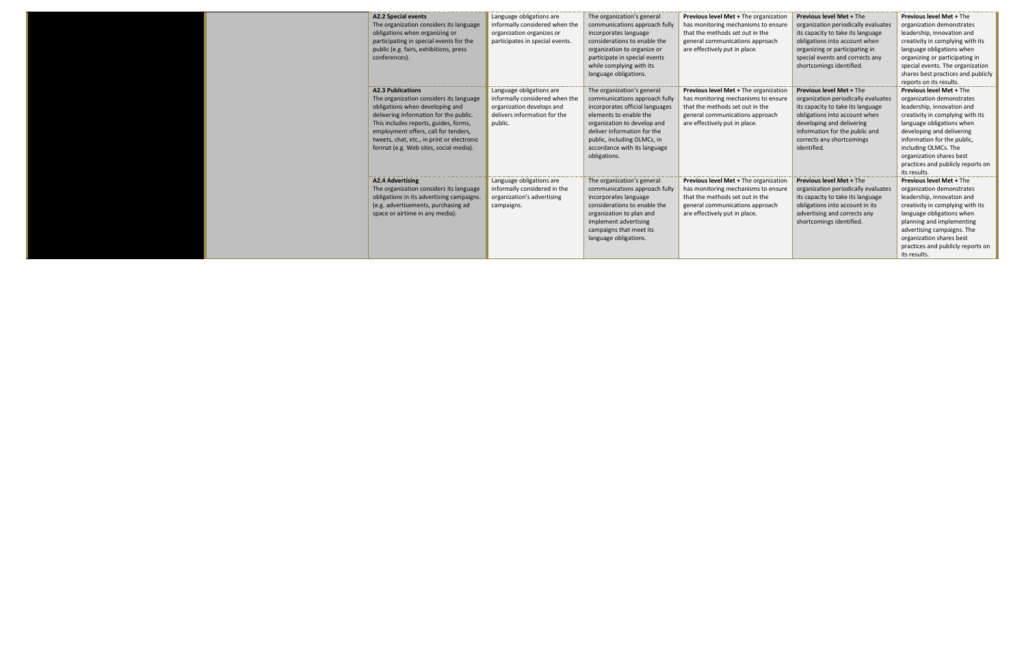|  | <b>A2.2 Special events</b><br>The organization considers its language<br>obligations when organizing or<br>participating in special events for the<br>public (e.g. fairs, exhibitions, press<br>conferences).                                                                                                             | Language obligations are<br>informally considered when the<br>organization organizes or<br>participates in special events.         | The organization's general<br>communications approach fully<br>incorporates language<br>considerations to enable the<br>organization to organize or<br>participate in special events<br>while complying with its<br>language obligations.                             | Previous level Met + The organization<br>has monitoring mechanisms to ensure<br>that the methods set out in the<br>general communications approach<br>are effectively put in place.        | <b>Previous level Met + The</b><br>organization periodically evaluates<br>its capacity to take its language<br>obligations into account when<br>organizing or participating in<br>special events and corrects any<br>shortcomings identified.           | <b>Previous level Met + The</b><br>organization demonstrates<br>leadership, innovation and<br>creativity in complying with its<br>language obligations when<br>organizing or participating in<br>special events. The organization<br>shares best practices and publicly<br>reports on its results.                               |
|--|---------------------------------------------------------------------------------------------------------------------------------------------------------------------------------------------------------------------------------------------------------------------------------------------------------------------------|------------------------------------------------------------------------------------------------------------------------------------|-----------------------------------------------------------------------------------------------------------------------------------------------------------------------------------------------------------------------------------------------------------------------|--------------------------------------------------------------------------------------------------------------------------------------------------------------------------------------------|---------------------------------------------------------------------------------------------------------------------------------------------------------------------------------------------------------------------------------------------------------|----------------------------------------------------------------------------------------------------------------------------------------------------------------------------------------------------------------------------------------------------------------------------------------------------------------------------------|
|  | <b>A2.3 Publications</b><br>The organization considers its language<br>obligations when developing and<br>delivering information for the public.<br>This includes reports, guides, forms,<br>employment offers, call for tenders,<br>tweets, chat, etc., in print or electronic<br>format (e.g. Web sites, social media). | Language obligations are<br>informally considered when the<br>organization develops and<br>delivers information for the<br>public. | The organization's general<br>communications approach fully<br>incorporates official languages<br>elements to enable the<br>organization to develop and<br>deliver information for the<br>public, including OLMCs, in<br>accordance with its language<br>obligations. | <b>Previous level Met + The organization</b><br>has monitoring mechanisms to ensure<br>that the methods set out in the<br>general communications approach<br>are effectively put in place. | <b>Previous level Met + The</b><br>organization periodically evaluates<br>its capacity to take its language<br>obligations into account when<br>developing and delivering<br>information for the public and<br>corrects any shortcomings<br>identified. | <b>Previous level Met + The</b><br>organization demonstrates<br>leadership, innovation and<br>creativity in complying with its<br>language obligations when<br>developing and delivering<br>information for the public.<br>including OLMCs. The<br>organization shares best<br>practices and publicly reports on<br>its results. |
|  | <b>A2.4 Advertising</b><br>The organization considers its language<br>obligations in its advertising campaigns<br>(e.g. advertisements, purchasing ad<br>space or airtime in any media).                                                                                                                                  | Language obligations are<br>informally considered in the<br>organization's advertising<br>campaigns.                               | The organization's general<br>communications approach fully<br>incorporates language<br>considerations to enable the<br>organization to plan and<br>implement advertising<br>campaigns that meet its<br>language obligations.                                         | Previous level Met + The organization<br>has monitoring mechanisms to ensure<br>that the methods set out in the<br>general communications approach<br>are effectively put in place.        | <b>Previous level Met + The</b><br>organization periodically evaluates<br>its capacity to take its language<br>obligations into account in its<br>advertising and corrects any<br>shortcomings identified.                                              | <b>Previous level Met + The</b><br>organization demonstrates<br>leadership, innovation and<br>creativity in complying with its<br>language obligations when<br>planning and implementing<br>advertising campaigns. The<br>organization shares best<br>practices and publicly reports on<br>its results.                          |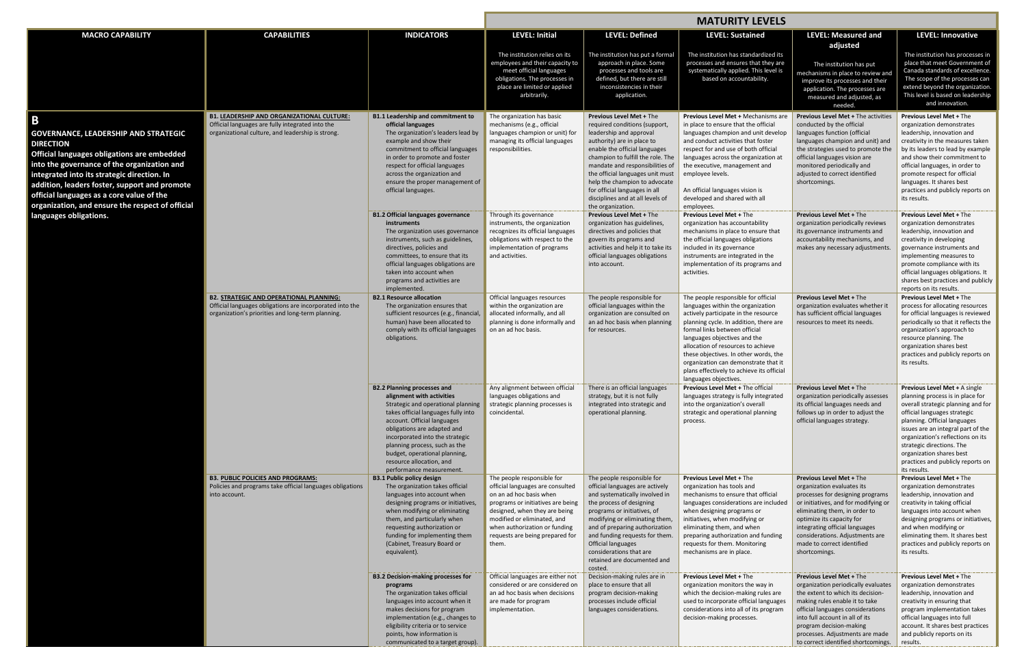|                                                                                                                                                                                                                                                                                                                                                                |                                                                                                                                                                 |                                                                                                                                                                                                                                                                                                                                                                         | <b>MATURITY LEVELS</b>                                                                                                                                                                                                                                                      |                                                                                                                                                                                                                                                                                                                                                                |                                                                                                                                                                                                                                                                                                                                                                                                                          |                                                                                                                                                                                                                                                                                                                             |                                                                                                                                                                                                                                                                                                                                                                  |
|----------------------------------------------------------------------------------------------------------------------------------------------------------------------------------------------------------------------------------------------------------------------------------------------------------------------------------------------------------------|-----------------------------------------------------------------------------------------------------------------------------------------------------------------|-------------------------------------------------------------------------------------------------------------------------------------------------------------------------------------------------------------------------------------------------------------------------------------------------------------------------------------------------------------------------|-----------------------------------------------------------------------------------------------------------------------------------------------------------------------------------------------------------------------------------------------------------------------------|----------------------------------------------------------------------------------------------------------------------------------------------------------------------------------------------------------------------------------------------------------------------------------------------------------------------------------------------------------------|--------------------------------------------------------------------------------------------------------------------------------------------------------------------------------------------------------------------------------------------------------------------------------------------------------------------------------------------------------------------------------------------------------------------------|-----------------------------------------------------------------------------------------------------------------------------------------------------------------------------------------------------------------------------------------------------------------------------------------------------------------------------|------------------------------------------------------------------------------------------------------------------------------------------------------------------------------------------------------------------------------------------------------------------------------------------------------------------------------------------------------------------|
| <b>MACRO CAPABILITY</b>                                                                                                                                                                                                                                                                                                                                        | <b>CAPABILITIES</b>                                                                                                                                             | <b>INDICATORS</b>                                                                                                                                                                                                                                                                                                                                                       | <b>LEVEL: Initial</b>                                                                                                                                                                                                                                                       | <b>LEVEL: Defined</b>                                                                                                                                                                                                                                                                                                                                          | <b>LEVEL: Sustained</b>                                                                                                                                                                                                                                                                                                                                                                                                  | <b>LEVEL: Measured and</b>                                                                                                                                                                                                                                                                                                  | <b>LEVEL: Innovative</b>                                                                                                                                                                                                                                                                                                                                         |
|                                                                                                                                                                                                                                                                                                                                                                |                                                                                                                                                                 |                                                                                                                                                                                                                                                                                                                                                                         | The institution relies on its<br>employees and their capacity to<br>meet official languages<br>obligations. The processes in<br>place are limited or applied<br>arbitrarily.                                                                                                | The institution has put a formal<br>approach in place. Some<br>processes and tools are<br>defined, but there are still<br>inconsistencies in their<br>application.                                                                                                                                                                                             | The institution has standardized its<br>processes and ensures that they are<br>systematically applied. This level is<br>based on accountability.                                                                                                                                                                                                                                                                         | adjusted<br>The institution has put<br>mechanisms in place to review and<br>improve its processes and their<br>application. The processes are<br>measured and adjusted, as<br>needed.                                                                                                                                       | The institution has processes in<br>place that meet Government of<br>Canada standards of excellence.<br>The scope of the processes can<br>extend beyond the organization.<br>This level is based on leadership<br>and innovation.                                                                                                                                |
| B                                                                                                                                                                                                                                                                                                                                                              | <b>B1. LEADERSHIP AND ORGANIZATIONAL CULTURE:</b>                                                                                                               | <b>B1.1 Leadership and commitment to</b>                                                                                                                                                                                                                                                                                                                                | The organization has basic                                                                                                                                                                                                                                                  | <b>Previous Level Met + The</b>                                                                                                                                                                                                                                                                                                                                | Previous Level Met + Mechanisms are                                                                                                                                                                                                                                                                                                                                                                                      | <b>Previous Level Met + The activities</b>                                                                                                                                                                                                                                                                                  | <b>Previous Level Met + The</b>                                                                                                                                                                                                                                                                                                                                  |
| <b>GOVERNANCE, LEADERSHIP AND STRATEGIC</b><br><b>DIRECTION</b><br>Official languages obligations are embedded<br>into the governance of the organization and<br>integrated into its strategic direction. In<br>addition, leaders foster, support and promote<br>official languages as a core value of the<br>organization, and ensure the respect of official | Official languages are fully integrated into the<br>organizational culture, and leadership is strong.                                                           | official languages<br>The organization's leaders lead by<br>example and show their<br>commitment to official languages<br>in order to promote and foster<br>respect for official languages<br>across the organization and<br>ensure the proper management of<br>official languages.                                                                                     | mechanisms (e.g., official<br>languages champion or unit) for<br>managing its official languages<br>responsibilities.                                                                                                                                                       | required conditions (support,<br>leadership and approval<br>authority) are in place to<br>enable the official languages<br>champion to fulfill the role. The<br>mandate and responsibilities of<br>the official languages unit must<br>help the champion to advocate<br>for official languages in all<br>disciplines and at all levels of<br>the organization. | in place to ensure that the official<br>languages champion and unit develop<br>and conduct activities that foster<br>respect for and use of both official<br>languages across the organization at<br>the executive, management and<br>employee levels.<br>An official languages vision is<br>developed and shared with all<br>employees.                                                                                 | conducted by the official<br>languages function (official<br>languages champion and unit) and<br>the strategies used to promote the<br>official languages vision are<br>monitored periodically and<br>adjusted to correct identified<br>shortcomings.                                                                       | organization demonstrates<br>leadership, innovation and<br>creativity in the measures taken<br>by its leaders to lead by example<br>and show their commitment to<br>official languages, in order to<br>promote respect for official<br>languages. It shares best<br>practices and publicly reports on<br>its results.                                            |
| languages obligations.                                                                                                                                                                                                                                                                                                                                         |                                                                                                                                                                 | <b>B1.2 Official languages governance</b><br><b>instruments</b>                                                                                                                                                                                                                                                                                                         | Through its governance<br>instruments, the organization                                                                                                                                                                                                                     | <b>Previous Level Met + The</b><br>organization has guidelines,                                                                                                                                                                                                                                                                                                | <b>Previous Level Met + The</b><br>organization has accountability                                                                                                                                                                                                                                                                                                                                                       | <b>Previous Level Met + The</b><br>organization periodically reviews                                                                                                                                                                                                                                                        | <b>Previous Level Met + The</b><br>organization demonstrates                                                                                                                                                                                                                                                                                                     |
|                                                                                                                                                                                                                                                                                                                                                                |                                                                                                                                                                 | The organization uses governance<br>instruments, such as guidelines,<br>directives, policies and<br>committees, to ensure that its<br>official languages obligations are<br>taken into account when<br>programs and activities are<br>implemented.                                                                                                                      | recognizes its official languages<br>obligations with respect to the<br>implementation of programs<br>and activities.                                                                                                                                                       | directives and policies that<br>govern its programs and<br>activities and help it to take its<br>official languages obligations<br>into account.                                                                                                                                                                                                               | mechanisms in place to ensure that<br>the official languages obligations<br>included in its governance<br>instruments are integrated in the<br>implementation of its programs and<br>activities.                                                                                                                                                                                                                         | its governance instruments and<br>accountability mechanisms, and<br>makes any necessary adjustments.                                                                                                                                                                                                                        | leadership, innovation and<br>creativity in developing<br>governance instruments and<br>implementing measures to<br>promote compliance with its<br>official languages obligations. It<br>shares best practices and publicly<br>reports on its results.                                                                                                           |
|                                                                                                                                                                                                                                                                                                                                                                | <b>B2. STRATEGIC AND OPERATIONAL PLANNING:</b><br>Official languages obligations are incorporated into the<br>organization's priorities and long-term planning. | <b>B2.1 Resource allocation</b><br>The organization ensures that<br>sufficient resources (e.g., financial,<br>human) have been allocated to<br>comply with its official languages<br>obligations.                                                                                                                                                                       | Official languages resources<br>within the organization are<br>allocated informally, and all<br>planning is done informally and<br>on an ad hoc basis.                                                                                                                      | The people responsible for<br>official languages within the<br>organization are consulted on<br>an ad hoc basis when planning<br>for resources.                                                                                                                                                                                                                | The people responsible for official<br>languages within the organization<br>actively participate in the resource<br>planning cycle. In addition, there are<br>formal links between official<br>languages objectives and the<br>allocation of resources to achieve<br>these objectives. In other words, the<br>organization can demonstrate that it<br>plans effectively to achieve its official<br>languages objectives. | <b>Previous Level Met + The</b><br>organization evaluates whether it<br>has sufficient official languages<br>resources to meet its needs.                                                                                                                                                                                   | <b>Previous Level Met + The</b><br>process for allocating resources<br>for official languages is reviewed<br>periodically so that it reflects the<br>organization's approach to<br>resource planning. The<br>organization shares best<br>practices and publicly reports on<br>its results.                                                                       |
|                                                                                                                                                                                                                                                                                                                                                                |                                                                                                                                                                 | <b>B2.2 Planning processes and</b><br>alignment with activities<br>Strategic and operational planning<br>takes official languages fully into<br>account. Official languages<br>obligations are adapted and<br>incorporated into the strategic<br>planning process, such as the<br>budget, operational planning,<br>resource allocation, and<br>performance measurement. | Any alignment between official   There is an official languages<br>languages obligations and<br>strategic planning processes is<br>coincidental.                                                                                                                            | strategy, but it is not fully<br>integrated into strategic and<br>operational planning.                                                                                                                                                                                                                                                                        | Previous Level Met + The official<br>languages strategy is fully integrated<br>into the organization's overall<br>strategic and operational planning<br>process.                                                                                                                                                                                                                                                         | <b>Previous Level Met + The</b><br>organization periodically assesses<br>its official languages needs and<br>follows up in order to adjust the<br>official languages strategy.                                                                                                                                              | Previous Level Met + A single<br>planning process is in place for<br>overall strategic planning and for<br>official languages strategic<br>planning. Official languages<br>issues are an integral part of the<br>organization's reflections on its<br>strategic directions. The<br>organization shares best<br>practices and publicly reports on<br>its results. |
|                                                                                                                                                                                                                                                                                                                                                                | <b>B3. PUBLIC POLICIES AND PROGRAMS:</b><br>Policies and programs take official languages obligations<br>into account.                                          | <b>B3.1 Public policy design</b><br>The organization takes official<br>languages into account when<br>designing programs or initiatives,<br>when modifying or eliminating<br>them, and particularly when<br>requesting authorization or<br>funding for implementing them<br>(Cabinet, Treasury Board or<br>equivalent).                                                 | The people responsible for<br>official languages are consulted<br>on an ad hoc basis when<br>programs or initiatives are being<br>designed, when they are being<br>modified or eliminated, and<br>when authorization or funding<br>requests are being prepared for<br>them. | The people responsible for<br>official languages are actively<br>and systematically involved in<br>the process of designing<br>programs or initiatives, of<br>modifying or eliminating them,<br>and of preparing authorization<br>and funding requests for them.<br>Official languages<br>considerations that are<br>retained are documented and<br>costed.    | <b>Previous Level Met + The</b><br>organization has tools and<br>mechanisms to ensure that official<br>languages considerations are included<br>when designing programs or<br>initiatives, when modifying or<br>eliminating them, and when<br>preparing authorization and funding<br>requests for them. Monitoring<br>mechanisms are in place.                                                                           | <b>Previous Level Met + The</b><br>organization evaluates its<br>processes for designing programs<br>or initiatives, and for modifying or<br>eliminating them, in order to<br>optimize its capacity for<br>integrating official languages<br>considerations. Adjustments are<br>made to correct identified<br>shortcomings. | <b>Previous Level Met + The</b><br>organization demonstrates<br>leadership, innovation and<br>creativity in taking official<br>languages into account when<br>designing programs or initiatives,<br>and when modifying or<br>eliminating them. It shares best<br>practices and publicly reports on<br>its results.                                               |
|                                                                                                                                                                                                                                                                                                                                                                |                                                                                                                                                                 | <b>B3.2 Decision-making processes for</b><br>programs<br>The organization takes official<br>languages into account when it<br>makes decisions for program<br>implementation (e.g., changes to<br>eligibility criteria or to service<br>points, how information is<br>communicated to a target group).                                                                   | Official languages are either not<br>considered or are considered on<br>an ad hoc basis when decisions<br>are made for program<br>implementation.                                                                                                                           | Decision-making rules are in<br>place to ensure that all<br>program decision-making<br>processes include official<br>languages considerations.                                                                                                                                                                                                                 | <b>Previous Level Met + The</b><br>organization monitors the way in<br>which the decision-making rules are<br>used to incorporate official languages<br>considerations into all of its program<br>decision-making processes.                                                                                                                                                                                             | <b>Previous Level Met + The</b><br>organization periodically evaluates<br>the extent to which its decision-<br>making rules enable it to take<br>official languages considerations<br>into full account in all of its<br>program decision-making<br>processes. Adjustments are made<br>to correct identified shortcomings.  | <b>Previous Level Met + The</b><br>organization demonstrates<br>leadership, innovation and<br>creativity in ensuring that<br>program implementation takes<br>official languages into full<br>account. It shares best practices<br>and publicly reports on its<br>results.                                                                                        |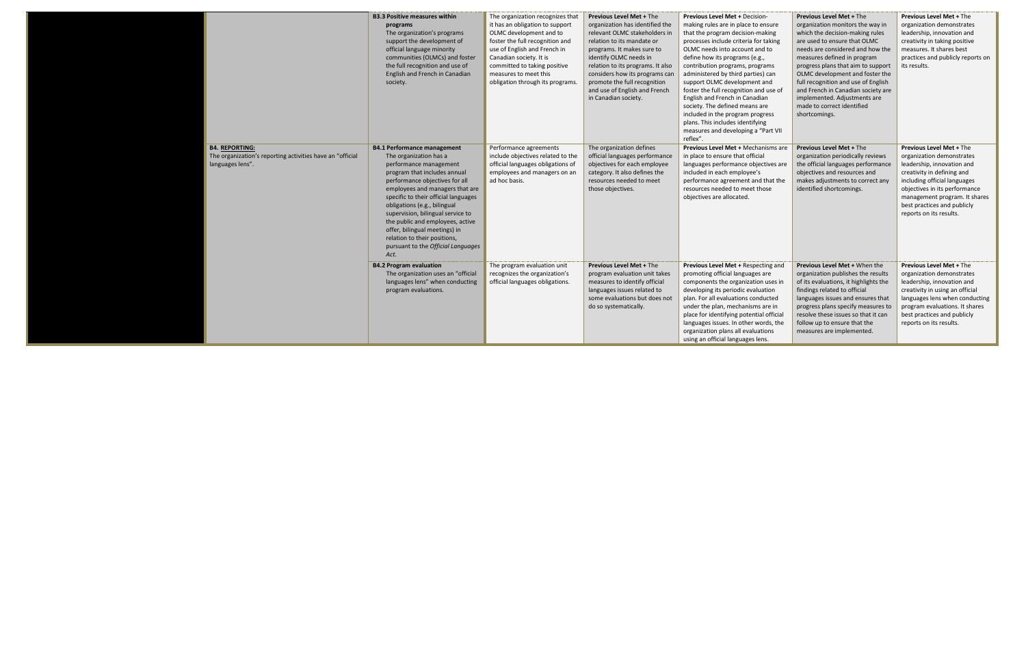|                                                                                                        | <b>B3.3 Positive measures within</b><br>programs<br>The organization's programs<br>support the development of<br>official language minority<br>communities (OLMCs) and foster<br>the full recognition and use of<br>English and French in Canadian<br>society.                                                                                                                                                                                              | The organization recognizes that<br>it has an obligation to support<br>OLMC development and to<br>foster the full recognition and<br>use of English and French in<br>Canadian society. It is<br>committed to taking positive<br>measures to meet this<br>obligation through its programs. | <b>Previous Level Met + The</b><br>organization has identified the<br>relevant OLMC stakeholders in<br>relation to its mandate or<br>programs. It makes sure to<br>identify OLMC needs in<br>relation to its programs. It also<br>considers how its programs can<br>promote the full recognition<br>and use of English and French<br>in Canadian society. | Previous Level Met + Decision-<br>making rules are in place to ensure<br>that the program decision-making<br>processes include criteria for taking<br>OLMC needs into account and to<br>define how its programs (e.g.,<br>contribution programs, programs<br>administered by third parties) can<br>support OLMC development and<br>foster the full recognition and use of<br>English and French in Canadian<br>society. The defined means are<br>included in the program progress<br>plans. This includes identifying<br>measures and developing a "Part VII<br>reflex". | <b>Previous Level Met + The</b><br>organization monitors the way in<br>which the decision-making rules<br>are used to ensure that OLMC<br>needs are considered and how the<br>measures defined in program<br>progress plans that aim to support<br>OLMC development and foster the<br>full recognition and use of English<br>and French in Canadian society are<br>implemented. Adjustments are<br>made to correct identified<br>shortcomings. | Previous Level Met + The<br>organization demonstrates<br>leadership, innovation and<br>creativity in taking positive<br>measures. It shares best<br>practices and publicly reports on<br>its results.                                                                                |
|--------------------------------------------------------------------------------------------------------|-------------------------------------------------------------------------------------------------------------------------------------------------------------------------------------------------------------------------------------------------------------------------------------------------------------------------------------------------------------------------------------------------------------------------------------------------------------|-------------------------------------------------------------------------------------------------------------------------------------------------------------------------------------------------------------------------------------------------------------------------------------------|-----------------------------------------------------------------------------------------------------------------------------------------------------------------------------------------------------------------------------------------------------------------------------------------------------------------------------------------------------------|--------------------------------------------------------------------------------------------------------------------------------------------------------------------------------------------------------------------------------------------------------------------------------------------------------------------------------------------------------------------------------------------------------------------------------------------------------------------------------------------------------------------------------------------------------------------------|------------------------------------------------------------------------------------------------------------------------------------------------------------------------------------------------------------------------------------------------------------------------------------------------------------------------------------------------------------------------------------------------------------------------------------------------|--------------------------------------------------------------------------------------------------------------------------------------------------------------------------------------------------------------------------------------------------------------------------------------|
| <b>B4. REPORTING:</b><br>The organization's reporting activities have an "official<br>languages lens". | <b>B4.1 Performance management</b><br>The organization has a<br>performance management<br>program that includes annual<br>performance objectives for all<br>employees and managers that are<br>specific to their official languages<br>obligations (e.g., bilingual<br>supervision, bilingual service to<br>the public and employees, active<br>offer, bilingual meetings) in<br>relation to their positions,<br>pursuant to the Official Languages<br>Act. | Performance agreements<br>include objectives related to the<br>official languages obligations of<br>employees and managers on an<br>ad hoc basis.                                                                                                                                         | The organization defines<br>official languages performance<br>objectives for each employee<br>category. It also defines the<br>resources needed to meet<br>those objectives.                                                                                                                                                                              | Previous Level Met + Mechanisms are<br>in place to ensure that official<br>languages performance objectives are<br>included in each employee's<br>performance agreement and that the<br>resources needed to meet those<br>objectives are allocated.                                                                                                                                                                                                                                                                                                                      | <b>Previous Level Met + The</b><br>organization periodically reviews<br>the official languages performance<br>objectives and resources and<br>makes adjustments to correct any<br>identified shortcomings.                                                                                                                                                                                                                                     | <b>Previous Level Met + The</b><br>organization demonstrates<br>leadership, innovation and<br>creativity in defining and<br>including official languages<br>objectives in its performance<br>management program. It shares<br>best practices and publicly<br>reports on its results. |
|                                                                                                        | <b>B4.2 Program evaluation</b><br>The organization uses an "official<br>languages lens" when conducting<br>program evaluations.                                                                                                                                                                                                                                                                                                                             | The program evaluation unit<br>recognizes the organization's<br>official languages obligations.                                                                                                                                                                                           | <b>Previous Level Met + The</b><br>program evaluation unit takes<br>measures to identify official<br>languages issues related to<br>some evaluations but does not<br>do so systematically.                                                                                                                                                                | Previous Level Met + Respecting and<br>promoting official languages are<br>components the organization uses in<br>developing its periodic evaluation<br>plan. For all evaluations conducted<br>under the plan, mechanisms are in<br>place for identifying potential official<br>languages issues. In other words, the<br>organization plans all evaluations<br>using an official languages lens.                                                                                                                                                                         | Previous Level Met + When the<br>organization publishes the results<br>of its evaluations, it highlights the<br>findings related to official<br>languages issues and ensures that<br>progress plans specify measures to<br>resolve these issues so that it can<br>follow up to ensure that the<br>measures are implemented.                                                                                                                    | <b>Previous Level Met + The</b><br>organization demonstrates<br>leadership, innovation and<br>creativity in using an official<br>languages lens when conducting<br>program evaluations. It shares<br>best practices and publicly<br>reports on its results.                          |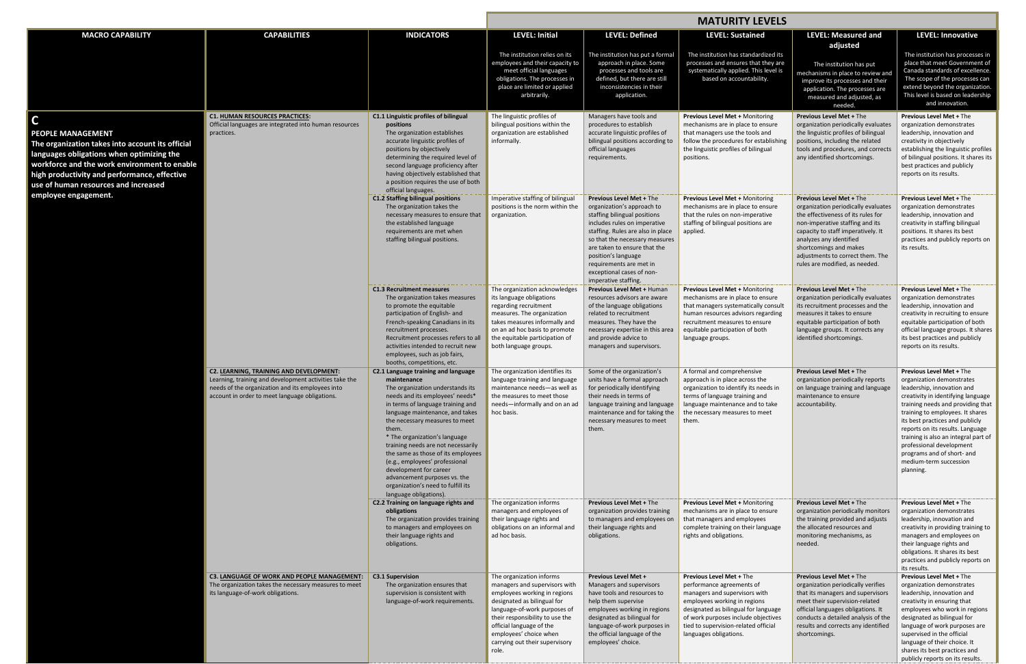|                                                                                                                                                                                                                                                                                                           |                                                                                                                                                                                                                |                                                                                                                                                                                                                                                                                                                                                                                                                                                                                                                       | <b>MATURITY LEVELS</b>                                                                                                                                                                                                                                                                       |                                                                                                                                                                                                                                                                                                                                             |                                                                                                                                                                                                                                                                                |                                                                                                                                                                                                                                                                                                                  |                                                                                                                                                                                                                                                                                                                                                                                                                           |
|-----------------------------------------------------------------------------------------------------------------------------------------------------------------------------------------------------------------------------------------------------------------------------------------------------------|----------------------------------------------------------------------------------------------------------------------------------------------------------------------------------------------------------------|-----------------------------------------------------------------------------------------------------------------------------------------------------------------------------------------------------------------------------------------------------------------------------------------------------------------------------------------------------------------------------------------------------------------------------------------------------------------------------------------------------------------------|----------------------------------------------------------------------------------------------------------------------------------------------------------------------------------------------------------------------------------------------------------------------------------------------|---------------------------------------------------------------------------------------------------------------------------------------------------------------------------------------------------------------------------------------------------------------------------------------------------------------------------------------------|--------------------------------------------------------------------------------------------------------------------------------------------------------------------------------------------------------------------------------------------------------------------------------|------------------------------------------------------------------------------------------------------------------------------------------------------------------------------------------------------------------------------------------------------------------------------------------------------------------|---------------------------------------------------------------------------------------------------------------------------------------------------------------------------------------------------------------------------------------------------------------------------------------------------------------------------------------------------------------------------------------------------------------------------|
| <b>MACRO CAPABILITY</b>                                                                                                                                                                                                                                                                                   | <b>CAPABILITIES</b>                                                                                                                                                                                            | <b>INDICATORS</b>                                                                                                                                                                                                                                                                                                                                                                                                                                                                                                     | <b>LEVEL: Initial</b>                                                                                                                                                                                                                                                                        | <b>LEVEL: Defined</b>                                                                                                                                                                                                                                                                                                                       | <b>LEVEL: Sustained</b>                                                                                                                                                                                                                                                        | <b>LEVEL: Measured and</b><br>adjusted                                                                                                                                                                                                                                                                           | <b>LEVEL: Innovative</b>                                                                                                                                                                                                                                                                                                                                                                                                  |
|                                                                                                                                                                                                                                                                                                           |                                                                                                                                                                                                                |                                                                                                                                                                                                                                                                                                                                                                                                                                                                                                                       | The institution relies on its<br>employees and their capacity to<br>meet official languages<br>obligations. The processes in<br>place are limited or applied<br>arbitrarily.                                                                                                                 | The institution has put a formal<br>approach in place. Some<br>processes and tools are<br>defined, but there are still<br>inconsistencies in their<br>application.                                                                                                                                                                          | The institution has standardized its<br>processes and ensures that they are<br>systematically applied. This level is<br>based on accountability.                                                                                                                               | The institution has put<br>mechanisms in place to review and<br>improve its processes and their<br>application. The processes are<br>measured and adjusted, as<br>needed.                                                                                                                                        | The institution has processes in<br>place that meet Government of<br>Canada standards of excellence.<br>The scope of the processes can<br>extend beyond the organization.<br>This level is based on leadership<br>and innovation.                                                                                                                                                                                         |
| $\mathsf{C}$<br><b>PEOPLE MANAGEMENT</b><br>The organization takes into account its official<br>languages obligations when optimizing the<br>workforce and the work environment to enable<br>high productivity and performance, effective<br>use of human resources and increased<br>employee engagement. | <b>C1. HUMAN RESOURCES PRACTICES:</b><br>Official languages are integrated into human resources<br>practices.                                                                                                  | C1.1 Linguistic profiles of bilingual<br>positions<br>The organization establishes<br>accurate linguistic profiles of<br>positions by objectively<br>determining the required level of<br>second language proficiency after<br>having objectively established that<br>a position requires the use of both<br>official languages.                                                                                                                                                                                      | The linguistic profiles of<br>bilingual positions within the<br>organization are established<br>informally.                                                                                                                                                                                  | Managers have tools and<br>procedures to establish<br>accurate linguistic profiles of<br>bilingual positions according to<br>official languages<br>requirements.                                                                                                                                                                            | <b>Previous Level Met + Monitoring</b><br>mechanisms are in place to ensure<br>that managers use the tools and<br>follow the procedures for establishing<br>the linguistic profiles of bilingual<br>positions.                                                                 | <b>Previous Level Met + The</b><br>organization periodically evaluates<br>the linguistic profiles of bilingual<br>positions, including the related<br>tools and procedures, and corrects<br>any identified shortcomings.                                                                                         | <b>Previous Level Met + The</b><br>organization demonstrates<br>leadership, innovation and<br>creativity in objectively<br>establishing the linguistic profiles<br>of bilingual positions. It shares its<br>best practices and publicly<br>reports on its results.                                                                                                                                                        |
|                                                                                                                                                                                                                                                                                                           |                                                                                                                                                                                                                | <b>C1.2 Staffing bilingual positions</b><br>The organization takes the<br>necessary measures to ensure that<br>the established language<br>requirements are met when<br>staffing bilingual positions.                                                                                                                                                                                                                                                                                                                 | Imperative staffing of bilingual<br>positions is the norm within the<br>organization.                                                                                                                                                                                                        | <b>Previous Level Met + The</b><br>organization's approach to<br>staffing bilingual positions<br>includes rules on imperative<br>staffing. Rules are also in place<br>so that the necessary measures<br>are taken to ensure that the<br>position's language<br>requirements are met in<br>exceptional cases of non-<br>imperative staffing. | <b>Previous Level Met + Monitoring</b><br>mechanisms are in place to ensure<br>that the rules on non-imperative<br>staffing of bilingual positions are<br>applied.                                                                                                             | <b>Previous Level Met + The</b><br>organization periodically evaluates<br>the effectiveness of its rules for<br>non-imperative staffing and its<br>capacity to staff imperatively. It<br>analyzes any identified<br>shortcomings and makes<br>adjustments to correct them. The<br>rules are modified, as needed. | <b>Previous Level Met + The</b><br>organization demonstrates<br>leadership, innovation and<br>creativity in staffing bilingual<br>positions. It shares its best<br>practices and publicly reports on<br>its results.                                                                                                                                                                                                      |
|                                                                                                                                                                                                                                                                                                           |                                                                                                                                                                                                                | <b>C1.3 Recruitment measures</b><br>The organization takes measures<br>to promote the equitable<br>participation of English- and<br>French-speaking Canadians in its<br>recruitment processes.<br>Recruitment processes refers to all<br>activities intended to recruit new<br>employees, such as job fairs,<br>booths, competitions, etc.                                                                                                                                                                            | The organization acknowledges<br>its language obligations<br>regarding recruitment<br>measures. The organization<br>takes measures informally and<br>on an ad hoc basis to promote<br>the equitable participation of<br>both language groups.                                                | <b>Previous Level Met + Human</b><br>resources advisors are aware<br>of the language obligations<br>related to recruitment<br>measures. They have the<br>necessary expertise in this area<br>and provide advice to<br>managers and supervisors.                                                                                             | <b>Previous Level Met + Monitoring</b><br>mechanisms are in place to ensure<br>that managers systematically consult<br>human resources advisors regarding<br>recruitment measures to ensure<br>equitable participation of both<br>language groups.                             | <b>Previous Level Met + The</b><br>organization periodically evaluates<br>its recruitment processes and the<br>measures it takes to ensure<br>equitable participation of both<br>language groups. It corrects any<br>identified shortcomings.                                                                    | <b>Previous Level Met + The</b><br>organization demonstrates<br>leadership, innovation and<br>creativity in recruiting to ensure<br>equitable participation of both<br>official language groups. It shares<br>its best practices and publicly<br>reports on its results.                                                                                                                                                  |
|                                                                                                                                                                                                                                                                                                           | <b>C2. LEARNING, TRAINING AND DEVELOPMENT:</b><br>Learning, training and development activities take the<br>needs of the organization and its employees into<br>account in order to meet language obligations. | C2.1 Language training and language<br>maintenance<br>The organization understands its<br>needs and its employees' needs*<br>in terms of language training and<br>language maintenance, and takes<br>the necessary measures to meet<br>them.<br>* The organization's language<br>training needs are not necessarily<br>the same as those of its employees<br>(e.g., employees' professional<br>development for career<br>advancement purposes vs. the<br>organization's need to fulfill its<br>language obligations). | The organization identifies its<br>language training and language<br>maintenance needs-as well as<br>the measures to meet those<br>needs-informally and on an ad<br>hoc basis.                                                                                                               | Some of the organization's<br>units have a formal approach<br>for periodically identifying<br>their needs in terms of<br>language training and language<br>maintenance and for taking the<br>necessary measures to meet<br>them.                                                                                                            | A formal and comprehensive<br>approach is in place across the<br>organization to identify its needs in<br>terms of language training and<br>language maintenance and to take<br>the necessary measures to meet<br>them.                                                        | <b>Previous Level Met + The</b><br>organization periodically reports<br>on language training and language<br>maintenance to ensure<br>accountability.                                                                                                                                                            | <b>Previous Level Met + The</b><br>organization demonstrates<br>leadership, innovation and<br>creativity in identifying language<br>training needs and providing that<br>training to employees. It shares<br>its best practices and publicly<br>reports on its results. Language<br>training is also an integral part of<br>professional development<br>programs and of short- and<br>medium-term succession<br>planning. |
|                                                                                                                                                                                                                                                                                                           |                                                                                                                                                                                                                | C2.2 Training on language rights and<br>obligations<br>The organization provides training<br>to managers and employees on<br>their language rights and<br>obligations.                                                                                                                                                                                                                                                                                                                                                | The organization informs<br>managers and employees of<br>their language rights and<br>obligations on an informal and<br>ad hoc basis.                                                                                                                                                        | <b>Previous Level Met + The</b><br>organization provides training<br>to managers and employees on<br>their language rights and<br>obligations.                                                                                                                                                                                              | <b>Previous Level Met + Monitoring</b><br>mechanisms are in place to ensure<br>that managers and employees<br>complete training on their language<br>rights and obligations.                                                                                                   | <b>Previous Level Met + The</b><br>organization periodically monitors<br>the training provided and adjusts<br>the allocated resources and<br>monitoring mechanisms, as<br>needed.                                                                                                                                | <b>Previous Level Met + The</b><br>organization demonstrates<br>leadership, innovation and<br>creativity in providing training to<br>managers and employees on<br>their language rights and<br>obligations. It shares its best<br>practices and publicly reports on<br>its results.                                                                                                                                       |
|                                                                                                                                                                                                                                                                                                           | C3. LANGUAGE OF WORK AND PEOPLE MANAGEMENT:<br>The organization takes the necessary measures to meet<br>its language-of-work obligations.                                                                      | <b>C3.1 Supervision</b><br>The organization ensures that<br>supervision is consistent with<br>language-of-work requirements.                                                                                                                                                                                                                                                                                                                                                                                          | The organization informs<br>managers and supervisors with<br>employees working in regions<br>designated as bilingual for<br>language-of-work purposes of<br>their responsibility to use the<br>official language of the<br>employees' choice when<br>carrying out their supervisory<br>role. | <b>Previous Level Met +</b><br>Managers and supervisors<br>have tools and resources to<br>help them supervise<br>employees working in regions<br>designated as bilingual for<br>language-of-work purposes in<br>the official language of the<br>employees' choice.                                                                          | <b>Previous Level Met + The</b><br>performance agreements of<br>managers and supervisors with<br>employees working in regions<br>designated as bilingual for language<br>of work purposes include objectives<br>tied to supervision-related official<br>languages obligations. | <b>Previous Level Met + The</b><br>organization periodically verifies<br>that its managers and supervisors<br>meet their supervision-related<br>official languages obligations. It<br>conducts a detailed analysis of the<br>results and corrects any identified<br>shortcomings.                                | <b>Previous Level Met + The</b><br>organization demonstrates<br>leadership, innovation and<br>creativity in ensuring that<br>employees who work in regions<br>designated as bilingual for<br>language of work purposes are<br>supervised in the official<br>language of their choice. It<br>shares its best practices and<br>publicly reports on its results.                                                             |